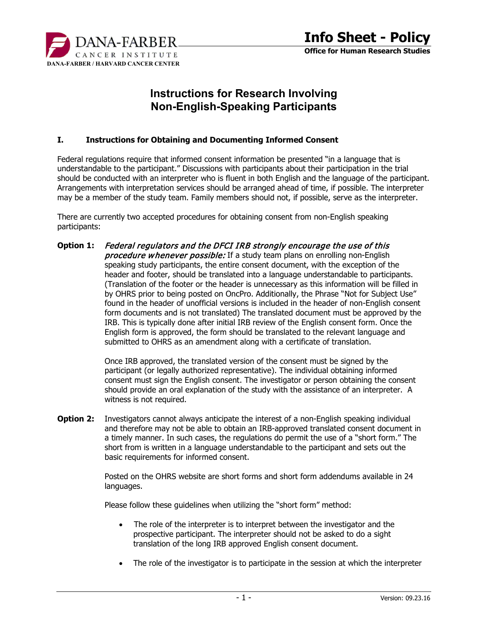

# **Instructions for Research Involving Non-English-Speaking Participants**

#### **I. Instructions for Obtaining and Documenting Informed Consent**

Federal regulations require that informed consent information be presented "in a language that is understandable to the participant." Discussions with participants about their participation in the trial should be conducted with an interpreter who is fluent in both English and the language of the participant. Arrangements with interpretation services should be arranged ahead of time, if possible. The interpreter may be a member of the study team. Family members should not, if possible, serve as the interpreter.

There are currently two accepted procedures for obtaining consent from non-English speaking participants:

**Option 1:** Federal regulators and the DFCI IRB strongly encourage the use of this **procedure whenever possible:** If a study team plans on enrolling non-English speaking study participants, the entire consent document, with the exception of the header and footer, should be translated into a language understandable to participants. (Translation of the footer or the header is unnecessary as this information will be filled in by OHRS prior to being posted on OncPro. Additionally, the Phrase "Not for Subject Use" found in the header of unofficial versions is included in the header of non-English consent form documents and is not translated) The translated document must be approved by the IRB. This is typically done after initial IRB review of the English consent form. Once the English form is approved, the form should be translated to the relevant language and submitted to OHRS as an amendment along with a certificate of translation.

> Once IRB approved, the translated version of the consent must be signed by the participant (or legally authorized representative). The individual obtaining informed consent must sign the English consent. The investigator or person obtaining the consent should provide an oral explanation of the study with the assistance of an interpreter. A witness is not required.

**Option 2:** Investigators cannot always anticipate the interest of a non-English speaking individual and therefore may not be able to obtain an IRB-approved translated consent document in a timely manner. In such cases, the regulations do permit the use of a "short form." The short from is written in a language understandable to the participant and sets out the basic requirements for informed consent.

> Posted on the OHRS website are short forms and short form addendums available in 24 languages.

Please follow these guidelines when utilizing the "short form" method:

- The role of the interpreter is to interpret between the investigator and the prospective participant. The interpreter should not be asked to do a sight translation of the long IRB approved English consent document.
- The role of the investigator is to participate in the session at which the interpreter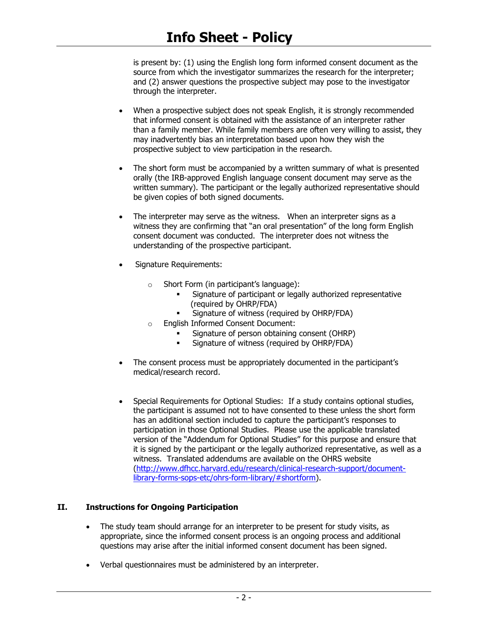is present by: (1) using the English long form informed consent document as the source from which the investigator summarizes the research for the interpreter; and (2) answer questions the prospective subject may pose to the investigator through the interpreter.

- When a prospective subject does not speak English, it is strongly recommended that informed consent is obtained with the assistance of an interpreter rather than a family member. While family members are often very willing to assist, they may inadvertently bias an interpretation based upon how they wish the prospective subject to view participation in the research.
- The short form must be accompanied by a written summary of what is presented orally (the IRB-approved English language consent document may serve as the written summary). The participant or the legally authorized representative should be given copies of both signed documents.
- The interpreter may serve as the witness. When an interpreter signs as a witness they are confirming that "an oral presentation" of the long form English consent document was conducted. The interpreter does not witness the understanding of the prospective participant.
- Signature Requirements:
	- o Short Form (in participant's language):
		- Signature of participant or legally authorized representative (required by OHRP/FDA)
		- Signature of witness (required by OHRP/FDA)
	- o English Informed Consent Document:
		- Signature of person obtaining consent (OHRP)
		- **Signature of witness (required by OHRP/FDA)**
- The consent process must be appropriately documented in the participant's medical/research record.
- Special Requirements for Optional Studies: If a study contains optional studies, the participant is assumed not to have consented to these unless the short form has an additional section included to capture the participant's responses to participation in those Optional Studies. Please use the applicable translated version of the "Addendum for Optional Studies" for this purpose and ensure that it is signed by the participant or the legally authorized representative, as well as a witness. Translated addendums are available on the OHRS website [\(http://www.dfhcc.harvard.edu/research/clinical-research-support/document](http://www.dfhcc.harvard.edu/research/clinical-research-support/document-library-forms-sops-etc/ohrs-form-library/#shortform)[library-forms-sops-etc/ohrs-form-library/#shortform\)](http://www.dfhcc.harvard.edu/research/clinical-research-support/document-library-forms-sops-etc/ohrs-form-library/#shortform).

## **II. Instructions for Ongoing Participation**

- The study team should arrange for an interpreter to be present for study visits, as appropriate, since the informed consent process is an ongoing process and additional questions may arise after the initial informed consent document has been signed.
- Verbal questionnaires must be administered by an interpreter.